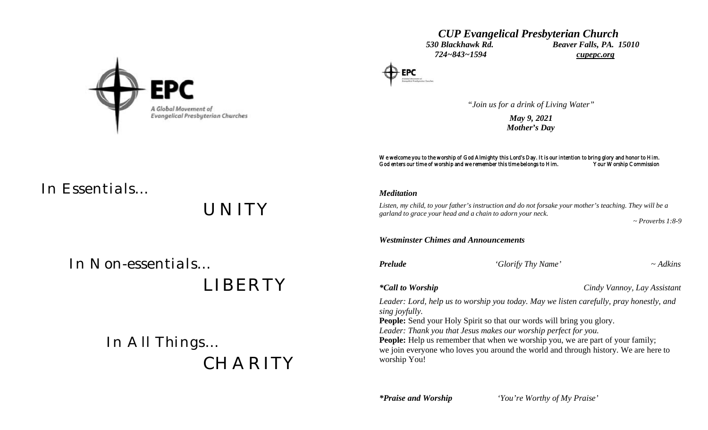*CUP Evangelical Presbyterian Church 530 Blackhawk Rd. Beaver Falls, PA. 15010 724~843~1594 cupepc.org*

*"Join us for a drink of Living Water"*

*May 9, 2021 Mother's Day*

We welcome you to the worship of God Almighty this Lord's Day. It is our intention to bring glory and honor to Him.<br>God enters our time of worship and we remember this time belongs to Him. Your Worship Commission God enters our time of worship and we remember this time belongs to Him.

#### *Meditation*

*Listen, my child, to your father's instruction and do not forsake your mother's teaching. They will be a garland to grace your head and a chain to adorn your neck.*

 *~ Proverbs 1:8-9*

*Westminster Chimes and Announcements*

*Prelude 'Glorify Thy Name' ~ Adkins*

*\*Call to Worship Cindy Vannoy, Lay Assistant*

*Leader: Lord, help us to worship you today. May we listen carefully, pray honestly, and sing joyfully.*

**People:** Send your Holy Spirit so that our words will bring you glory.

*Leader: Thank you that Jesus makes our worship perfect for you.*

**People:** Help us remember that when we worship you, we are part of your family; we join everyone who loves you around the world and through history. We are here to worship You!

*\*Praise and Worship 'You're Worthy of My Praise'*



# *In Essentials…*

*UNITY*

 *In Non-essentials…*

 *LIBERTY*

 *In All Things… CHARITY*